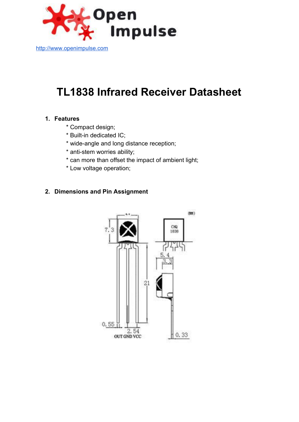

[http://www.openimpulse.com](http://www.google.com/url?q=http%3A%2F%2Fwww.openimpulse.com&sa=D&sntz=1&usg=AFQjCNFxTUcyWdmYJk26cpaSVIm_pIF0yQ)

# **TL1838 Infrared Receiver Datasheet**

#### **1. Features**

- \* Compact design;
- \* Built-in dedicated IC;
- \* wide-angle and long distance reception;
- \* anti-stem worries ability;
- \* can more than offset the impact of ambient light;
- \* Low voltage operation;

## **2. Dimensions and Pin Assignment**

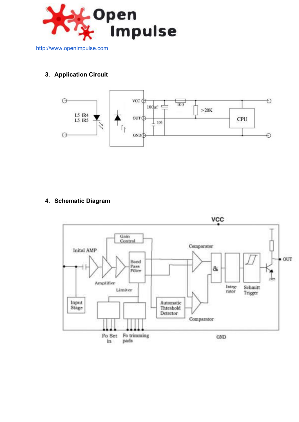

# **3. Application Circuit**



## **4. Schematic Diagram**

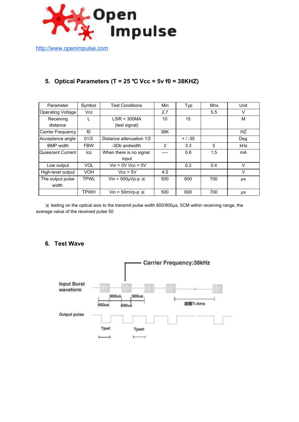

[http://www.openimpulse.com](http://www.google.com/url?q=http%3A%2F%2Fwww.openimpulse.com&sa=D&sntz=1&usg=AFQjCNFxTUcyWdmYJk26cpaSVIm_pIF0yQ)

# **5. Optical Parameters (T = 25** ℃ **Vcc = 5v f0 = 38KHZ)**

| Parameter                | Symbol      | <b>Test Conditions</b>                | Min | Typ | Mnx | Unit       |
|--------------------------|-------------|---------------------------------------|-----|-----|-----|------------|
| <b>Operating Voltage</b> | Vcc         |                                       | 2.7 | 5.5 |     | v          |
| Receiving                |             | $LSIR = 300MA$                        | 10  | 15  |     | M          |
| distance                 |             | (test signal)                         |     |     |     |            |
| Carrier Frequency        | f0          |                                       | 38K |     |     | HZ         |
| Acceptance angle         | 01/2        | Distance attenuation 1/2<br>$+ / -35$ |     |     | Deg |            |
| <b>BMP</b> width         | <b>FBW</b>  | -3Db andwidth                         | 2   | 3.3 | 5   | <b>kHz</b> |
| Quiescent Current        | lcc         | When there is no signal               |     | 0.8 | 1.5 | mA         |
|                          |             | input                                 |     |     |     |            |
| Low output               | <b>VOL</b>  | $V$ in = 0V Vcc = 5V                  |     | 0.2 | 0.4 | $\vee$     |
| High-level output        | <b>VOH</b>  | $Vcc = 5V$                            | 4.5 |     |     | V          |
| The output pulse         | <b>TPWL</b> | Vin = $500\mu Vp-p \times$            | 500 | 600 | 700 | μs         |
| width                    |             |                                       |     |     |     |            |
|                          | <b>TPWH</b> | Vin = $50mVp-p \times$                | 500 | 600 | 700 | μs         |

※ testing on the optical axis to the transmit pulse width 600/900μs, 5CM within receiving range, the average value of the received pulse 50

#### **6. Test Wave**